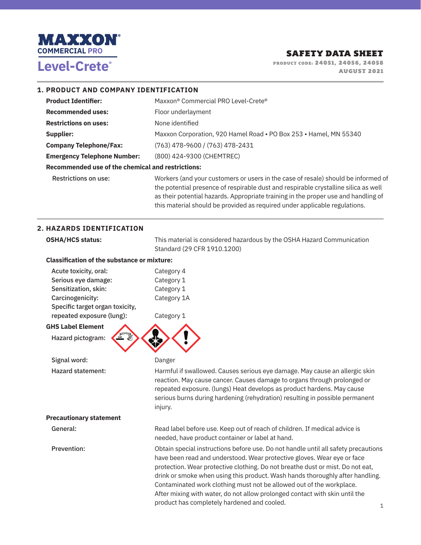

**PRODUCT CODE: 24051, 24056, 24058 PRODUCT CODE: 24051, 24056, 24058 AUGUST 2021** 

### **1. PRODUCT AND COMPANY IDENTIFICATION**

| <b>Product Identifier:</b>                        | Maxxon® Commercial PRO Level-Crete®                                                                                                                                                                                                                            |  |
|---------------------------------------------------|----------------------------------------------------------------------------------------------------------------------------------------------------------------------------------------------------------------------------------------------------------------|--|
| <b>Recommended uses:</b>                          | Floor underlayment                                                                                                                                                                                                                                             |  |
| <b>Restrictions on uses:</b>                      | None identified                                                                                                                                                                                                                                                |  |
| Supplier:                                         | Maxxon Corporation, 920 Hamel Road • PO Box 253 • Hamel, MN 55340                                                                                                                                                                                              |  |
| <b>Company Telephone/Fax:</b>                     | (763) 478-9600 / (763) 478-2431                                                                                                                                                                                                                                |  |
| <b>Emergency Telephone Number:</b>                | (800) 424-9300 (CHEMTREC)                                                                                                                                                                                                                                      |  |
| Recommended use of the chemical and restrictions: |                                                                                                                                                                                                                                                                |  |
| <b>Restrictions on use:</b>                       | Workers (and your customers or users in the case of resale) should be informed of<br>the potential presence of respirable dust and respirable crystalline silica as well<br>as their potential hazards. Appropriate training in the proper use and handling of |  |

this material should be provided as required under applicable regulations.

### **2. HAZARDS IDENTIFICATION**

| <b>OSHA/HCS status:</b>                            | This material is considered hazardous by the OSHA Hazard Communication<br>Standard (29 CFR 1910.1200)                                                                                                                                                                                                                                                                                                                                                                                   |  |  |
|----------------------------------------------------|-----------------------------------------------------------------------------------------------------------------------------------------------------------------------------------------------------------------------------------------------------------------------------------------------------------------------------------------------------------------------------------------------------------------------------------------------------------------------------------------|--|--|
| <b>Classification of the substance or mixture:</b> |                                                                                                                                                                                                                                                                                                                                                                                                                                                                                         |  |  |
| Acute toxicity, oral:                              | Category 4                                                                                                                                                                                                                                                                                                                                                                                                                                                                              |  |  |
| Serious eye damage:                                | Category 1                                                                                                                                                                                                                                                                                                                                                                                                                                                                              |  |  |
| Sensitization, skin:                               | Category 1                                                                                                                                                                                                                                                                                                                                                                                                                                                                              |  |  |
| Carcinogenicity:                                   | Category 1A                                                                                                                                                                                                                                                                                                                                                                                                                                                                             |  |  |
| Specific target organ toxicity,                    |                                                                                                                                                                                                                                                                                                                                                                                                                                                                                         |  |  |
| repeated exposure (lung):                          | Category 1                                                                                                                                                                                                                                                                                                                                                                                                                                                                              |  |  |
| <b>GHS Label Element</b>                           |                                                                                                                                                                                                                                                                                                                                                                                                                                                                                         |  |  |
| Hazard pictogram:                                  |                                                                                                                                                                                                                                                                                                                                                                                                                                                                                         |  |  |
| Signal word:                                       | Danger                                                                                                                                                                                                                                                                                                                                                                                                                                                                                  |  |  |
| <b>Hazard statement:</b>                           | Harmful if swallowed. Causes serious eye damage. May cause an allergic skin<br>reaction. May cause cancer. Causes damage to organs through prolonged or<br>repeated exposure. (lungs) Heat develops as product hardens. May cause<br>serious burns during hardening (rehydration) resulting in possible permanent<br>injury.                                                                                                                                                            |  |  |
| <b>Precautionary statement</b>                     |                                                                                                                                                                                                                                                                                                                                                                                                                                                                                         |  |  |
| General:                                           | Read label before use. Keep out of reach of children. If medical advice is<br>needed, have product container or label at hand.                                                                                                                                                                                                                                                                                                                                                          |  |  |
| Prevention:                                        | Obtain special instructions before use. Do not handle until all safety precautions<br>have been read and understood. Wear protective gloves. Wear eye or face<br>protection. Wear protective clothing. Do not breathe dust or mist. Do not eat,<br>drink or smoke when using this product. Wash hands thoroughly after handling.<br>Contaminated work clothing must not be allowed out of the workplace.<br>After mixing with water, do not allow prolonged contact with skin until the |  |  |

product has completely hardened and cooled.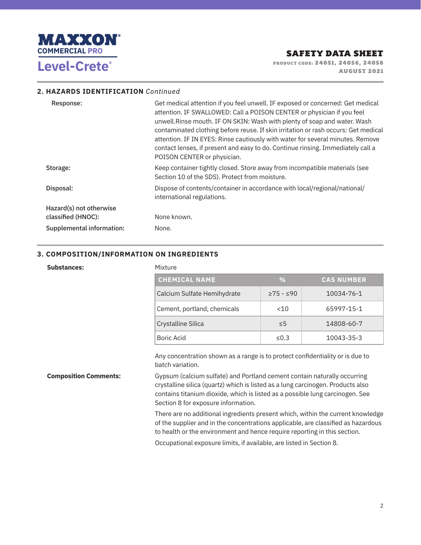

**PRODUCT CODE: 24051, 24056, 24058 PRODUCT CODE: 24051, 24056, 24058 AUGUST 2021** 

#### **2. HAZARDS IDENTIFICATION** *Continued*

| Response:                 | Get medical attention if you feel unwell. IF exposed or concerned: Get medical<br>attention. IF SWALLOWED: Call a POISON CENTER or physician if you feel<br>unwell. Rinse mouth. IF ON SKIN: Wash with plenty of soap and water. Wash<br>contaminated clothing before reuse. If skin irritation or rash occurs: Get medical<br>attention. IF IN EYES: Rinse cautiously with water for several minutes. Remove<br>contact lenses, if present and easy to do. Continue rinsing. Immediately call a<br>POISON CENTER or physician. |
|---------------------------|---------------------------------------------------------------------------------------------------------------------------------------------------------------------------------------------------------------------------------------------------------------------------------------------------------------------------------------------------------------------------------------------------------------------------------------------------------------------------------------------------------------------------------|
| Storage:                  | Keep container tightly closed. Store away from incompatible materials (see<br>Section 10 of the SDS). Protect from moisture.                                                                                                                                                                                                                                                                                                                                                                                                    |
| Disposal:                 | Dispose of contents/container in accordance with local/regional/national/<br>international regulations.                                                                                                                                                                                                                                                                                                                                                                                                                         |
| Hazard(s) not otherwise   |                                                                                                                                                                                                                                                                                                                                                                                                                                                                                                                                 |
| classified (HNOC):        | None known.                                                                                                                                                                                                                                                                                                                                                                                                                                                                                                                     |
| Supplemental information: | None.                                                                                                                                                                                                                                                                                                                                                                                                                                                                                                                           |

### **3. COMPOSITION/INFORMATION ON INGREDIENTS**

#### **Substances:** Mixture

| <b>CHEMICAL NAME</b>        | %           | <b>CAS NUMBER</b> |
|-----------------------------|-------------|-------------------|
| Calcium Sulfate Hemihydrate | $≥75 - ≤90$ | 10034-76-1        |
| Cement, portland, chemicals | <10         | 65997-15-1        |
| Crystalline Silica          | < 5         | 14808-60-7        |
| Boric Acid                  | < 0.3       | 10043-35-3        |

Any concentration shown as a range is to protect confidentiality or is due to batch variation.

**Composition Comments:** Gypsum (calcium sulfate) and Portland cement contain naturally occurring crystalline silica (quartz) which is listed as a lung carcinogen. Products also contains titanium dioxide, which is listed as a possible lung carcinogen. See Section 8 for exposure information.

> There are no additional ingredients present which, within the current knowledge of the supplier and in the concentrations applicable, are classified as hazardous to health or the environment and hence require reporting in this section.

Occupational exposure limits, if available, are listed in Section 8.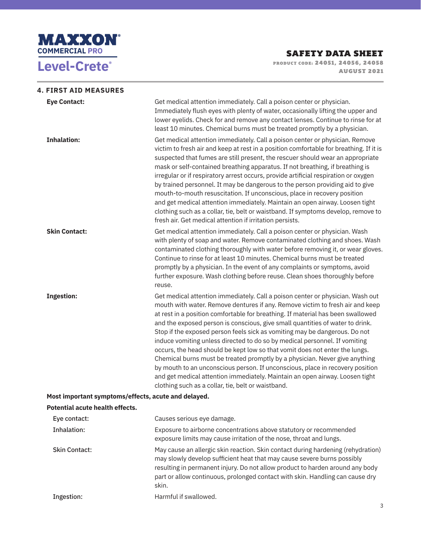

**PRODUCT CODE: 24051, 24056, 24058 PRODUCT CODE: 24051, 24056, 24058 AUGUST 2021** 

| <b>4. FIRST AID MEASURES</b>    |                                                                                                                                                                                                                                                                                                                                                                                                                                                                                                                                                                                                                                                                                                                                                                                                                                                                                      |
|---------------------------------|--------------------------------------------------------------------------------------------------------------------------------------------------------------------------------------------------------------------------------------------------------------------------------------------------------------------------------------------------------------------------------------------------------------------------------------------------------------------------------------------------------------------------------------------------------------------------------------------------------------------------------------------------------------------------------------------------------------------------------------------------------------------------------------------------------------------------------------------------------------------------------------|
| <b>Eye Contact:</b>             | Get medical attention immediately. Call a poison center or physician.<br>Immediately flush eyes with plenty of water, occasionally lifting the upper and<br>lower eyelids. Check for and remove any contact lenses. Continue to rinse for at<br>least 10 minutes. Chemical burns must be treated promptly by a physician.                                                                                                                                                                                                                                                                                                                                                                                                                                                                                                                                                            |
| <b>Inhalation:</b>              | Get medical attention immediately. Call a poison center or physician. Remove<br>victim to fresh air and keep at rest in a position comfortable for breathing. If it is<br>suspected that fumes are still present, the rescuer should wear an appropriate<br>mask or self-contained breathing apparatus. If not breathing, if breathing is<br>irregular or if respiratory arrest occurs, provide artificial respiration or oxygen<br>by trained personnel. It may be dangerous to the person providing aid to give<br>mouth-to-mouth resuscitation. If unconscious, place in recovery position<br>and get medical attention immediately. Maintain an open airway. Loosen tight<br>clothing such as a collar, tie, belt or waistband. If symptoms develop, remove to<br>fresh air. Get medical attention if irritation persists.                                                       |
| <b>Skin Contact:</b>            | Get medical attention immediately. Call a poison center or physician. Wash<br>with plenty of soap and water. Remove contaminated clothing and shoes. Wash<br>contaminated clothing thoroughly with water before removing it, or wear gloves.<br>Continue to rinse for at least 10 minutes. Chemical burns must be treated<br>promptly by a physician. In the event of any complaints or symptoms, avoid<br>further exposure. Wash clothing before reuse. Clean shoes thoroughly before<br>reuse.                                                                                                                                                                                                                                                                                                                                                                                     |
| <b>Ingestion:</b>               | Get medical attention immediately. Call a poison center or physician. Wash out<br>mouth with water. Remove dentures if any. Remove victim to fresh air and keep<br>at rest in a position comfortable for breathing. If material has been swallowed<br>and the exposed person is conscious, give small quantities of water to drink.<br>Stop if the exposed person feels sick as vomiting may be dangerous. Do not<br>induce vomiting unless directed to do so by medical personnel. If vomiting<br>occurs, the head should be kept low so that vomit does not enter the lungs.<br>Chemical burns must be treated promptly by a physician. Never give anything<br>by mouth to an unconscious person. If unconscious, place in recovery position<br>and get medical attention immediately. Maintain an open airway. Loosen tight<br>clothing such as a collar, tie, belt or waistband. |
|                                 | Most important symptoms/effects, acute and delayed.                                                                                                                                                                                                                                                                                                                                                                                                                                                                                                                                                                                                                                                                                                                                                                                                                                  |
| Potential acute health effects. |                                                                                                                                                                                                                                                                                                                                                                                                                                                                                                                                                                                                                                                                                                                                                                                                                                                                                      |
| Eye contact:                    | Causes serious eye damage.                                                                                                                                                                                                                                                                                                                                                                                                                                                                                                                                                                                                                                                                                                                                                                                                                                                           |
| <b>Inhalation:</b>              | Exposure to airborne concentrations above statutory or recommended<br>exposure limits may cause irritation of the nose, throat and lungs.                                                                                                                                                                                                                                                                                                                                                                                                                                                                                                                                                                                                                                                                                                                                            |
| <b>Skin Contact:</b>            | May cause an allergic skin reaction. Skin contact during hardening (rehydration)<br>may slowly develop sufficient heat that may cause severe burns possibly<br>resulting in permanent injury. Do not allow product to harden around any body<br>part or allow continuous, prolonged contact with skin. Handling can cause dry<br>skin.                                                                                                                                                                                                                                                                                                                                                                                                                                                                                                                                               |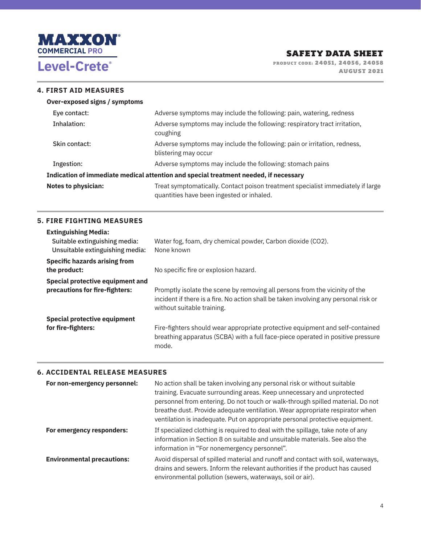

**PRODUCT CODE: 24051, 24056, 24058 PRODUCT CODE: 24051, 24056, 24058 AUGUST 2021** 

### **4. FIRST AID MEASURES**

| Over-exposed signs / symptoms |                                                                                                                              |
|-------------------------------|------------------------------------------------------------------------------------------------------------------------------|
| Eye contact:                  | Adverse symptoms may include the following: pain, watering, redness                                                          |
| Inhalation:                   | Adverse symptoms may include the following: respiratory tract irritation,<br>coughing                                        |
| Skin contact:                 | Adverse symptoms may include the following: pain or irritation, redness,<br>blistering may occur                             |
| Ingestion:                    | Adverse symptoms may include the following: stomach pains                                                                    |
|                               | Indication of immediate medical attention and special treatment needed, if necessary                                         |
| <b>Notes to physician:</b>    | Treat symptomatically. Contact poison treatment specialist immediately if large<br>quantities have been ingested or inhaled. |

### **5. FIRE FIGHTING MEASURES**

| <b>Extinguishing Media:</b><br>Suitable extinguishing media:<br>Unsuitable extinguishing media: | Water fog, foam, dry chemical powder, Carbon dioxide (CO2).<br>None known                                                                                                                         |
|-------------------------------------------------------------------------------------------------|---------------------------------------------------------------------------------------------------------------------------------------------------------------------------------------------------|
| <b>Specific hazards arising from</b>                                                            |                                                                                                                                                                                                   |
| the product:                                                                                    | No specific fire or explosion hazard.                                                                                                                                                             |
| Special protective equipment and                                                                |                                                                                                                                                                                                   |
| precautions for fire-fighters:                                                                  | Promptly isolate the scene by removing all persons from the vicinity of the<br>incident if there is a fire. No action shall be taken involving any personal risk or<br>without suitable training. |
| <b>Special protective equipment</b>                                                             |                                                                                                                                                                                                   |
| for fire-fighters:                                                                              | Fire-fighters should wear appropriate protective equipment and self-contained<br>breathing apparatus (SCBA) with a full face-piece operated in positive pressure<br>mode.                         |

#### **6. ACCIDENTAL RELEASE MEASURES**

| For non-emergency personnel:      | No action shall be taken involving any personal risk or without suitable<br>training. Evacuate surrounding areas. Keep unnecessary and unprotected<br>personnel from entering. Do not touch or walk-through spilled material. Do not<br>breathe dust. Provide adequate ventilation. Wear appropriate respirator when<br>ventilation is inadequate. Put on appropriate personal protective equipment. |
|-----------------------------------|------------------------------------------------------------------------------------------------------------------------------------------------------------------------------------------------------------------------------------------------------------------------------------------------------------------------------------------------------------------------------------------------------|
| For emergency responders:         | If specialized clothing is required to deal with the spillage, take note of any<br>information in Section 8 on suitable and unsuitable materials. See also the<br>information in "For nonemergency personnel".                                                                                                                                                                                       |
| <b>Environmental precautions:</b> | Avoid dispersal of spilled material and runoff and contact with soil, waterways,<br>drains and sewers. Inform the relevant authorities if the product has caused<br>environmental pollution (sewers, waterways, soil or air).                                                                                                                                                                        |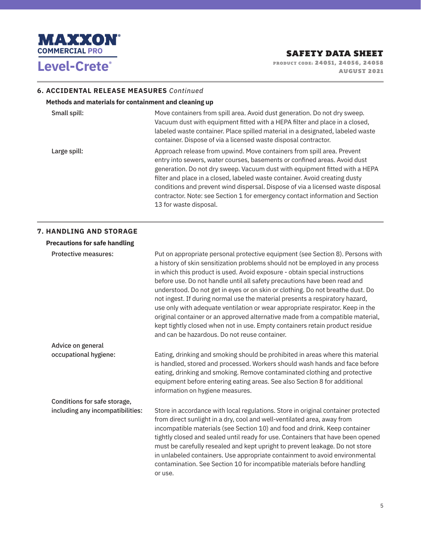

**PRODUCT CODE: 24051, 24056, 24058 PRODUCT CODE: 24051, 24056, 24058 AUGUST 2021** 

#### **6. ACCIDENTAL RELEASE MEASURES** *Continued*

### **Methods and materials for containment and cleaning up**

| Small spill: | Move containers from spill area. Avoid dust generation. Do not dry sweep.<br>Vacuum dust with equipment fitted with a HEPA filter and place in a closed,<br>labeled waste container. Place spilled material in a designated, labeled waste<br>container. Dispose of via a licensed waste disposal contractor.                                                                                                                                                                                                   |
|--------------|-----------------------------------------------------------------------------------------------------------------------------------------------------------------------------------------------------------------------------------------------------------------------------------------------------------------------------------------------------------------------------------------------------------------------------------------------------------------------------------------------------------------|
| Large spill: | Approach release from upwind. Move containers from spill area. Prevent<br>entry into sewers, water courses, basements or confined areas. Avoid dust<br>generation. Do not dry sweep. Vacuum dust with equipment fitted with a HEPA<br>filter and place in a closed, labeled waste container. Avoid creating dusty<br>conditions and prevent wind dispersal. Dispose of via a licensed waste disposal<br>contractor. Note: see Section 1 for emergency contact information and Section<br>13 for waste disposal. |

#### **7. HANDLING AND STORAGE**

| <b>Precautions for safe handling</b> |                                                                                                                                                                                                                                                                                                                                                                                                                                                                                                                                                                                                                                                                                                                                                                                                     |
|--------------------------------------|-----------------------------------------------------------------------------------------------------------------------------------------------------------------------------------------------------------------------------------------------------------------------------------------------------------------------------------------------------------------------------------------------------------------------------------------------------------------------------------------------------------------------------------------------------------------------------------------------------------------------------------------------------------------------------------------------------------------------------------------------------------------------------------------------------|
| <b>Protective measures:</b>          | Put on appropriate personal protective equipment (see Section 8). Persons with<br>a history of skin sensitization problems should not be employed in any process<br>in which this product is used. Avoid exposure - obtain special instructions<br>before use. Do not handle until all safety precautions have been read and<br>understood. Do not get in eyes or on skin or clothing. Do not breathe dust. Do<br>not ingest. If during normal use the material presents a respiratory hazard,<br>use only with adequate ventilation or wear appropriate respirator. Keep in the<br>original container or an approved alternative made from a compatible material,<br>kept tightly closed when not in use. Empty containers retain product residue<br>and can be hazardous. Do not reuse container. |
| Advice on general                    |                                                                                                                                                                                                                                                                                                                                                                                                                                                                                                                                                                                                                                                                                                                                                                                                     |
| occupational hygiene:                | Eating, drinking and smoking should be prohibited in areas where this material<br>is handled, stored and processed. Workers should wash hands and face before<br>eating, drinking and smoking. Remove contaminated clothing and protective<br>equipment before entering eating areas. See also Section 8 for additional<br>information on hygiene measures.                                                                                                                                                                                                                                                                                                                                                                                                                                         |
| Conditions for safe storage,         |                                                                                                                                                                                                                                                                                                                                                                                                                                                                                                                                                                                                                                                                                                                                                                                                     |
| including any incompatibilities:     | Store in accordance with local regulations. Store in original container protected<br>from direct sunlight in a dry, cool and well-ventilated area, away from<br>incompatible materials (see Section 10) and food and drink. Keep container<br>tightly closed and sealed until ready for use. Containers that have been opened<br>must be carefully resealed and kept upright to prevent leakage. Do not store<br>in unlabeled containers. Use appropriate containment to avoid environmental<br>contamination. See Section 10 for incompatible materials before handling<br>or use.                                                                                                                                                                                                                 |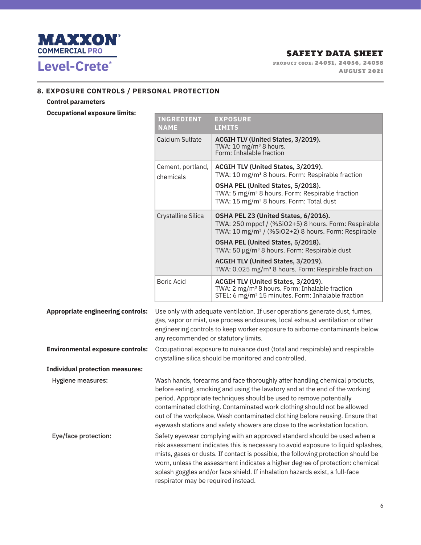

**PRODUCT CODE: 24051, 24056, 24058 PRODUCT CODE: 24051, 24056, 24058 AUGUST 2021** 

## **8. EXPOSURE CONTROLS / PERSONAL PROTECTION**

### **Control parameters**

**Occupational ex** 

| <b>Occupational exposure limits:</b>     |                                                                                                                                                                                                                                                                                       |                                                                                                                                                                                                                                                                                                                                                                                                                                                                           |
|------------------------------------------|---------------------------------------------------------------------------------------------------------------------------------------------------------------------------------------------------------------------------------------------------------------------------------------|---------------------------------------------------------------------------------------------------------------------------------------------------------------------------------------------------------------------------------------------------------------------------------------------------------------------------------------------------------------------------------------------------------------------------------------------------------------------------|
|                                          | <b>INGREDIENT</b><br><b>NAME</b>                                                                                                                                                                                                                                                      | <b>EXPOSURE</b><br><b>LIMITS</b>                                                                                                                                                                                                                                                                                                                                                                                                                                          |
|                                          | Calcium Sulfate                                                                                                                                                                                                                                                                       | ACGIH TLV (United States, 3/2019).<br>TWA: $10 \text{ mg/m}^3$ 8 hours.<br>Form: Inhalable fraction                                                                                                                                                                                                                                                                                                                                                                       |
|                                          | Cement, portland,<br>chemicals                                                                                                                                                                                                                                                        | ACGIH TLV (United States, 3/2019).<br>TWA: 10 mg/m <sup>3</sup> 8 hours. Form: Respirable fraction<br>OSHA PEL (United States, 5/2018).<br>TWA: 5 mg/m <sup>3</sup> 8 hours. Form: Respirable fraction<br>TWA: 15 mg/m <sup>3</sup> 8 hours. Form: Total dust                                                                                                                                                                                                             |
|                                          | Crystalline Silica                                                                                                                                                                                                                                                                    | OSHA PEL Z3 (United States, 6/2016).<br>TWA: 250 mppcf / (%SiO2+5) 8 hours. Form: Respirable<br>TWA: 10 mg/m <sup>3</sup> / (%SiO2+2) 8 hours. Form: Respirable                                                                                                                                                                                                                                                                                                           |
|                                          |                                                                                                                                                                                                                                                                                       | OSHA PEL (United States, 5/2018).<br>TWA: 50 µg/m <sup>3</sup> 8 hours. Form: Respirable dust                                                                                                                                                                                                                                                                                                                                                                             |
|                                          |                                                                                                                                                                                                                                                                                       | ACGIH TLV (United States, 3/2019).<br>TWA: 0.025 mg/m <sup>3</sup> 8 hours. Form: Respirable fraction                                                                                                                                                                                                                                                                                                                                                                     |
|                                          | <b>Boric Acid</b>                                                                                                                                                                                                                                                                     | ACGIH TLV (United States, 3/2019).<br>TWA: 2 mg/m <sup>3</sup> 8 hours. Form: Inhalable fraction<br>STEL: 6 mg/m <sup>3</sup> 15 minutes. Form: Inhalable fraction                                                                                                                                                                                                                                                                                                        |
| <b>Appropriate engineering controls:</b> | Use only with adequate ventilation. If user operations generate dust, fumes,<br>gas, vapor or mist, use process enclosures, local exhaust ventilation or other<br>engineering controls to keep worker exposure to airborne contaminants below<br>any recommended or statutory limits. |                                                                                                                                                                                                                                                                                                                                                                                                                                                                           |
| <b>Environmental exposure controls:</b>  | Occupational exposure to nuisance dust (total and respirable) and respirable<br>crystalline silica should be monitored and controlled.                                                                                                                                                |                                                                                                                                                                                                                                                                                                                                                                                                                                                                           |
| <b>Individual protection measures:</b>   |                                                                                                                                                                                                                                                                                       |                                                                                                                                                                                                                                                                                                                                                                                                                                                                           |
| <b>Hygiene measures:</b>                 |                                                                                                                                                                                                                                                                                       | Wash hands, forearms and face thoroughly after handling chemical products,<br>before eating, smoking and using the lavatory and at the end of the working<br>period. Appropriate techniques should be used to remove potentially<br>contaminated clothing. Contaminated work clothing should not be allowed<br>out of the workplace. Wash contaminated clothing before reusing. Ensure that<br>eyewash stations and safety showers are close to the workstation location. |
| Eye/face protection:                     | respirator may be required instead.                                                                                                                                                                                                                                                   | Safety eyewear complying with an approved standard should be used when a<br>risk assessment indicates this is necessary to avoid exposure to liquid splashes,<br>mists, gases or dusts. If contact is possible, the following protection should be<br>worn, unless the assessment indicates a higher degree of protection: chemical<br>splash goggles and/or face shield. If inhalation hazards exist, a full-face                                                        |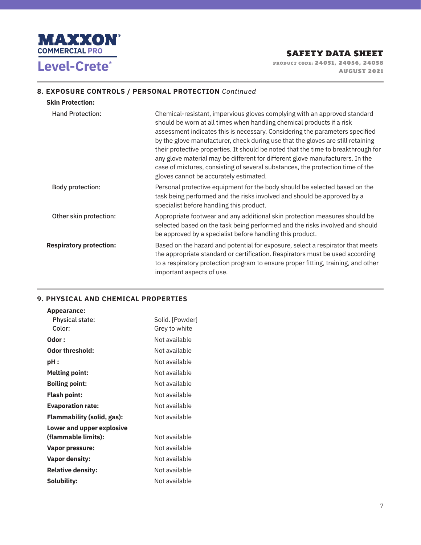

**PRODUCT CODE: 24051, 24056, 24058 PRODUCT CODE: 24051, 24056, 24058 AUGUST 2021** 

## **8. EXPOSURE CONTROLS / PERSONAL PROTECTION** *Continued*

| <b>Skin Protection:</b>        |                                                                                                                                                                                                                                                                                                                                                                                                                                                                                                                                                                                                                         |
|--------------------------------|-------------------------------------------------------------------------------------------------------------------------------------------------------------------------------------------------------------------------------------------------------------------------------------------------------------------------------------------------------------------------------------------------------------------------------------------------------------------------------------------------------------------------------------------------------------------------------------------------------------------------|
| <b>Hand Protection:</b>        | Chemical-resistant, impervious gloves complying with an approved standard<br>should be worn at all times when handling chemical products if a risk<br>assessment indicates this is necessary. Considering the parameters specified<br>by the glove manufacturer, check during use that the gloves are still retaining<br>their protective properties. It should be noted that the time to breakthrough for<br>any glove material may be different for different glove manufacturers. In the<br>case of mixtures, consisting of several substances, the protection time of the<br>gloves cannot be accurately estimated. |
| Body protection:               | Personal protective equipment for the body should be selected based on the<br>task being performed and the risks involved and should be approved by a<br>specialist before handling this product.                                                                                                                                                                                                                                                                                                                                                                                                                       |
| Other skin protection:         | Appropriate footwear and any additional skin protection measures should be<br>selected based on the task being performed and the risks involved and should<br>be approved by a specialist before handling this product.                                                                                                                                                                                                                                                                                                                                                                                                 |
| <b>Respiratory protection:</b> | Based on the hazard and potential for exposure, select a respirator that meets<br>the appropriate standard or certification. Respirators must be used according<br>to a respiratory protection program to ensure proper fitting, training, and other<br>important aspects of use.                                                                                                                                                                                                                                                                                                                                       |

### **9. PHYSICAL AND CHEMICAL PROPERTIES**

| <b>Appearance:</b>                |                 |
|-----------------------------------|-----------------|
| <b>Physical state:</b>            | Solid. [Powder] |
| Color:                            | Grey to white   |
| Odor :                            | Not available   |
| Odor threshold:                   | Not available   |
| pH :                              | Not available   |
| <b>Melting point:</b>             | Not available   |
| <b>Boiling point:</b>             | Not available   |
| <b>Flash point:</b>               | Not available   |
| <b>Evaporation rate:</b>          | Not available   |
| <b>Flammability (solid, gas):</b> | Not available   |
| Lower and upper explosive         |                 |
| (flammable limits):               | Not available   |
| Vapor pressure:                   | Not available   |
| <b>Vapor density:</b>             | Not available   |
| <b>Relative density:</b>          | Not available   |
| <b>Solubility:</b>                | Not available   |
|                                   |                 |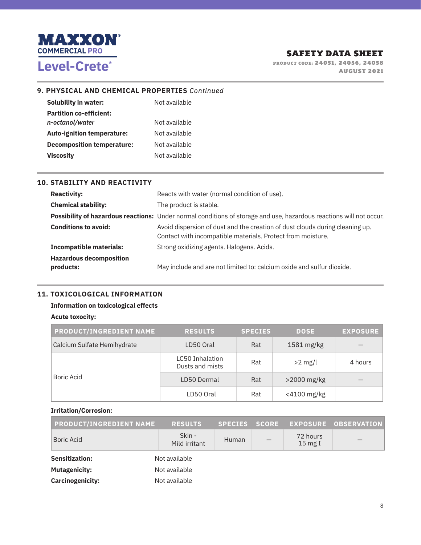

**PRODUCT CODE: 24051, 24056, 24058 PRODUCT CODE: 24051, 24056, 24058 AUGUST 2021** 

### **9. PHYSICAL AND CHEMICAL PROPERTIES** *Continued*

| <b>Solubility in water:</b>       | Not available |
|-----------------------------------|---------------|
| <b>Partition co-efficient:</b>    |               |
| n-octanol/water                   | Not available |
| <b>Auto-ignition temperature:</b> | Not available |
| <b>Decomposition temperature:</b> | Not available |
| <b>Viscosity</b>                  | Not available |

| <b>10. STABILITY AND REACTIVITY</b>         |                                                                                                                                             |
|---------------------------------------------|---------------------------------------------------------------------------------------------------------------------------------------------|
| <b>Reactivity:</b>                          | Reacts with water (normal condition of use).                                                                                                |
| <b>Chemical stability:</b>                  | The product is stable.                                                                                                                      |
|                                             | Possibility of hazardous reactions: Under normal conditions of storage and use, hazardous reactions will not occur.                         |
| <b>Conditions to avoid:</b>                 | Avoid dispersion of dust and the creation of dust clouds during cleaning up.<br>Contact with incompatible materials. Protect from moisture. |
| <b>Incompatible materials:</b>              | Strong oxidizing agents. Halogens. Acids.                                                                                                   |
| <b>Hazardous decomposition</b><br>products: | May include and are not limited to: calcium oxide and sulfur dioxide.                                                                       |

#### **11. TOXICOLOGICAL INFORMATION**

### **Information on toxicological effects**

#### **Acute toxocity:**

| <b>PRODUCT/INGREDIENT NAME</b> | <b>RESULTS</b>                            | <b>SPECIES</b> | <b>DOSE</b> | <b>EXPOSURE</b> |
|--------------------------------|-------------------------------------------|----------------|-------------|-----------------|
| Calcium Sulfate Hemihydrate    | LD50 Oral                                 | Rat            | 1581 mg/kg  |                 |
|                                | <b>LC50 Inhalation</b><br>Dusts and mists | Rat            | $>2$ mg/l   | 4 hours         |
| Boric Acid                     | LD50 Dermal                               | Rat            | >2000 mg/kg |                 |
|                                | LD50 Oral                                 | Rat            | <4100 mg/kg |                 |

#### **Irritation/Corrosion:**

| <b>PRODUCT/INGREDIENT NAME</b> | <b>RESULTS</b>          | <b>SPECIES</b> | <b>SCORE</b> |                               | EXPOSURE OBSERVATION |
|--------------------------------|-------------------------|----------------|--------------|-------------------------------|----------------------|
| <b>Boric Acid</b>              | Skin -<br>Mild irritant | Human          |              | 72 hours<br>$15 \text{ mg I}$ |                      |
| <b>Sensitization:</b>          | Not available           |                |              |                               |                      |
| <b>Mutagenicity:</b>           | Not available           |                |              |                               |                      |
| <b>Carcinogenicity:</b>        | Not available           |                |              |                               |                      |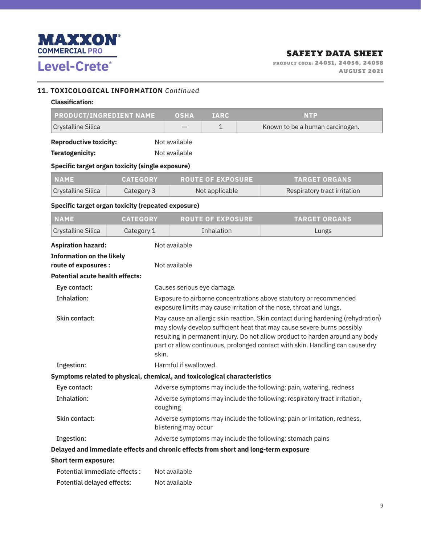

**PRODUCT CODE: 24051, 24056, 24058 PRODUCT CODE: 24051, 24056, 24058 AUGUST 2021** 

### **11. TOXICOLOGICAL INFORMATION** *Continued*

| <b>Classification:</b>         |               |             |                   |
|--------------------------------|---------------|-------------|-------------------|
| <b>PRODUCT/INGREDIENT NAME</b> | <b>OSHA</b>   | <b>IARC</b> | NTP               |
| Crystalline Silica             |               |             | Known to be a hum |
| <b>Reproductive toxicity:</b>  | Not available |             |                   |

Teratogenicity: Not available

### **Specific target organ toxicity (single exposure)**

| <b>NAME</b>        | <b>CATEGORY</b> | <b>ROUTE OF EXPOSURE</b> | <b>TARGET ORGANS</b>         |
|--------------------|-----------------|--------------------------|------------------------------|
| Crystalline Silica | Category 3      | Not applicable           | Respiratory tract irritation |

- 1 1 Known to be a human carcinogen.

### **Specific target organ toxicity (repeated exposure)**

| <b>NAME</b>                                                               | <b>CATEGORY</b>                                                                                                                                                                                                                                                                                                                        | <b>ROUTE OF EXPOSURE</b>                                                            | <b>TARGET ORGANS</b>                                                      |  |  |  |  |
|---------------------------------------------------------------------------|----------------------------------------------------------------------------------------------------------------------------------------------------------------------------------------------------------------------------------------------------------------------------------------------------------------------------------------|-------------------------------------------------------------------------------------|---------------------------------------------------------------------------|--|--|--|--|
| Crystalline Silica                                                        | Category 1                                                                                                                                                                                                                                                                                                                             | Inhalation                                                                          | Lungs                                                                     |  |  |  |  |
| <b>Aspiration hazard:</b>                                                 |                                                                                                                                                                                                                                                                                                                                        | Not available                                                                       |                                                                           |  |  |  |  |
| <b>Information on the likely</b><br>route of exposures :<br>Not available |                                                                                                                                                                                                                                                                                                                                        |                                                                                     |                                                                           |  |  |  |  |
| <b>Potential acute health effects:</b>                                    |                                                                                                                                                                                                                                                                                                                                        |                                                                                     |                                                                           |  |  |  |  |
| Eye contact:                                                              |                                                                                                                                                                                                                                                                                                                                        | Causes serious eye damage.                                                          |                                                                           |  |  |  |  |
| Inhalation:                                                               |                                                                                                                                                                                                                                                                                                                                        | exposure limits may cause irritation of the nose, throat and lungs.                 | Exposure to airborne concentrations above statutory or recommended        |  |  |  |  |
| Skin contact:                                                             | May cause an allergic skin reaction. Skin contact during hardening (rehydration)<br>may slowly develop sufficient heat that may cause severe burns possibly<br>resulting in permanent injury. Do not allow product to harden around any body<br>part or allow continuous, prolonged contact with skin. Handling can cause dry<br>skin. |                                                                                     |                                                                           |  |  |  |  |
| Ingestion:                                                                |                                                                                                                                                                                                                                                                                                                                        | Harmful if swallowed.                                                               |                                                                           |  |  |  |  |
|                                                                           |                                                                                                                                                                                                                                                                                                                                        | Symptoms related to physical, chemical, and toxicological characteristics           |                                                                           |  |  |  |  |
| Eye contact:                                                              |                                                                                                                                                                                                                                                                                                                                        |                                                                                     | Adverse symptoms may include the following: pain, watering, redness       |  |  |  |  |
| Inhalation:                                                               |                                                                                                                                                                                                                                                                                                                                        | coughing                                                                            | Adverse symptoms may include the following: respiratory tract irritation, |  |  |  |  |
| Skin contact:                                                             |                                                                                                                                                                                                                                                                                                                                        | blistering may occur                                                                | Adverse symptoms may include the following: pain or irritation, redness,  |  |  |  |  |
| Ingestion:                                                                |                                                                                                                                                                                                                                                                                                                                        | Adverse symptoms may include the following: stomach pains                           |                                                                           |  |  |  |  |
|                                                                           |                                                                                                                                                                                                                                                                                                                                        | Delayed and immediate effects and chronic effects from short and long-term exposure |                                                                           |  |  |  |  |
|                                                                           | <b>Short term exposure:</b>                                                                                                                                                                                                                                                                                                            |                                                                                     |                                                                           |  |  |  |  |
| Potential immediate effects :                                             |                                                                                                                                                                                                                                                                                                                                        | Not available                                                                       |                                                                           |  |  |  |  |
| <b>Potential delayed effects:</b>                                         |                                                                                                                                                                                                                                                                                                                                        | Not available                                                                       |                                                                           |  |  |  |  |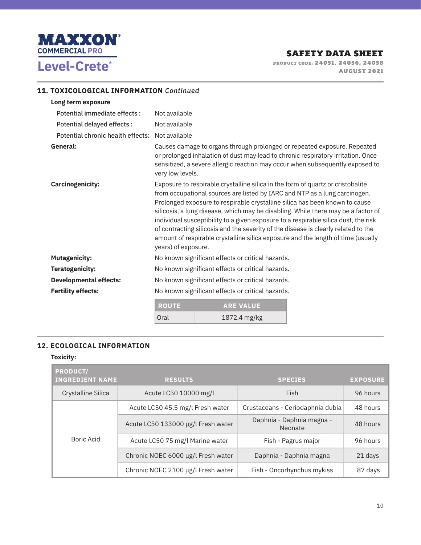

**PRODUCT CODE: 24051, 24056, 24058 PRODUCT CODE: 24051, 24056, 24058 AUGUST 2021** 

## **11. TOXICOLOGICAL INFORMATION** *Continued*

| Long term exposure                              |                                                                                                                                                                                                                                                                                                                                                                                                                                                                                                                                                                                                                           |  |  |
|-------------------------------------------------|---------------------------------------------------------------------------------------------------------------------------------------------------------------------------------------------------------------------------------------------------------------------------------------------------------------------------------------------------------------------------------------------------------------------------------------------------------------------------------------------------------------------------------------------------------------------------------------------------------------------------|--|--|
| Potential immediate effects :                   | Not available                                                                                                                                                                                                                                                                                                                                                                                                                                                                                                                                                                                                             |  |  |
| Potential delayed effects :                     | Not available                                                                                                                                                                                                                                                                                                                                                                                                                                                                                                                                                                                                             |  |  |
| Potential chronic health effects: Not available |                                                                                                                                                                                                                                                                                                                                                                                                                                                                                                                                                                                                                           |  |  |
| General:                                        | Causes damage to organs through prolonged or repeated exposure. Repeated<br>or prolonged inhalation of dust may lead to chronic respiratory irritation. Once<br>sensitized, a severe allergic reaction may occur when subsequently exposed to<br>very low levels.                                                                                                                                                                                                                                                                                                                                                         |  |  |
| <b>Carcinogenicity:</b>                         | Exposure to respirable crystalline silica in the form of quartz or cristobalite<br>from occupational sources are listed by IARC and NTP as a lung carcinogen.<br>Prolonged exposure to respirable crystalline silica has been known to cause<br>silicosis, a lung disease, which may be disabling. While there may be a factor of<br>individual susceptibility to a given exposure to a respirable silica dust, the risk<br>of contracting silicosis and the severity of the disease is clearly related to the<br>amount of respirable crystalline silica exposure and the length of time (usually<br>years) of exposure. |  |  |
| <b>Mutagenicity:</b>                            | No known significant effects or critical hazards.                                                                                                                                                                                                                                                                                                                                                                                                                                                                                                                                                                         |  |  |
| <b>Teratogenicity:</b>                          | No known significant effects or critical hazards.                                                                                                                                                                                                                                                                                                                                                                                                                                                                                                                                                                         |  |  |
| <b>Developmental effects:</b>                   | No known significant effects or critical hazards.                                                                                                                                                                                                                                                                                                                                                                                                                                                                                                                                                                         |  |  |
| <b>Fertility effects:</b>                       | No known significant effects or critical hazards.                                                                                                                                                                                                                                                                                                                                                                                                                                                                                                                                                                         |  |  |
|                                                 | <b>ROUTE</b><br><b>ARE VALUE</b>                                                                                                                                                                                                                                                                                                                                                                                                                                                                                                                                                                                          |  |  |

| <b>ROUTE</b> | <b>ARE VALUE</b> |
|--------------|------------------|
| Oral         | 1872.4 mg/kg     |

## **12. ECOLOGICAL INFORMATION**

#### **Toxicity:**

| <b>PRODUCT/</b><br><b>INGREDIENT NAME</b> | <b>RESULTS</b>                     | <b>SPECIES</b>                       | <b>EXPOSURE</b> |
|-------------------------------------------|------------------------------------|--------------------------------------|-----------------|
| Crystalline Silica                        | Acute LC50 10000 mg/l              | Fish                                 | 96 hours        |
|                                           | Acute LC50 45.5 mg/l Fresh water   | Crustaceans - Ceriodaphnia dubia     | 48 hours        |
| Boric Acid                                | Acute LC50 133000 µg/l Fresh water | Daphnia - Daphnia magna -<br>Neonate | 48 hours        |
|                                           | Acute LC50 75 mg/l Marine water    | Fish - Pagrus major                  | 96 hours        |
|                                           | Chronic NOEC 6000 µg/l Fresh water | Daphnia - Daphnia magna              | 21 days         |
|                                           | Chronic NOEC 2100 µg/l Fresh water | Fish - Oncorhynchus mykiss           | 87 days         |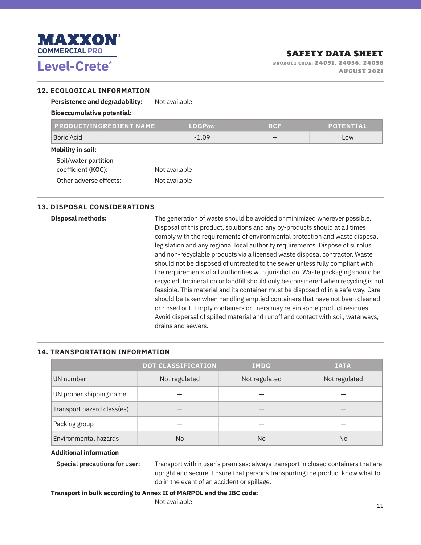

**PRODUCT CODE: 24051, 24056, 24058 PRODUCT CODE: 24051, 24056, 24058 AUGUST 2021** 

### **12. ECOLOGICAL INFORMATION**

| <b>Persistence and degradability:</b>      | Not available |            |                  |
|--------------------------------------------|---------------|------------|------------------|
| <b>Bioaccumulative potential:</b>          |               |            |                  |
| <b>PRODUCT/INGREDIENT NAME</b>             | <b>LOGPow</b> | <b>BCF</b> | <b>POTENTIAL</b> |
| Boric Acid                                 | $-1.09$       |            | Low              |
| <b>Mobility in soil:</b>                   |               |            |                  |
| Soil/water partition<br>coefficient (KOC): | Not available |            |                  |
| Other adverse effects:                     | Not available |            |                  |

### **13. DISPOSAL CONSIDERATIONS**

**Disposal methods:** The generation of waste should be avoided or minimized wherever possible. Disposal of this product, solutions and any by-products should at all times comply with the requirements of environmental protection and waste disposal legislation and any regional local authority requirements. Dispose of surplus and non-recyclable products via a licensed waste disposal contractor. Waste should not be disposed of untreated to the sewer unless fully compliant with the requirements of all authorities with jurisdiction. Waste packaging should be recycled. Incineration or landfill should only be considered when recycling is not feasible. This material and its container must be disposed of in a safe way. Care should be taken when handling emptied containers that have not been cleaned or rinsed out. Empty containers or liners may retain some product residues. Avoid dispersal of spilled material and runoff and contact with soil, waterways, drains and sewers.

### **14. TRANSPORTATION INFORMATION**

|                            | <b>DOT CLASSIFICATION</b> | <b>IMDG</b>   | <b>IATA</b>   |
|----------------------------|---------------------------|---------------|---------------|
| UN number                  | Not regulated             | Not regulated | Not regulated |
| UN proper shipping name    |                           |               |               |
| Transport hazard class(es) |                           |               |               |
| Packing group              |                           |               |               |
| Environmental hazards      | No                        | No            | No            |

#### **Additional information**

Special precautions for user: Transport within user's premises: always transport in closed containers that are upright and secure. Ensure that persons transporting the product know what to do in the event of an accident or spillage.

### **Transport in bulk according to Annex II of MARPOL and the IBC code:**

Not available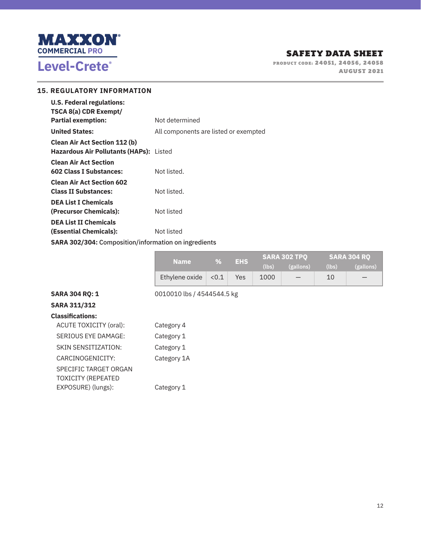

**PRODUCT CODE: 24051, 24056, 24058 PRODUCT CODE: 24051, 24056, 24058 AUGUST 2021** 

### **15. REGULATORY INFORMATION**

| <b>U.S. Federal regulations:</b>                            |                                       |  |  |  |
|-------------------------------------------------------------|---------------------------------------|--|--|--|
| TSCA 8(a) CDR Exempt/                                       |                                       |  |  |  |
| <b>Partial exemption:</b>                                   | Not determined                        |  |  |  |
| <b>United States:</b>                                       | All components are listed or exempted |  |  |  |
| <b>Clean Air Act Section 112 (b)</b>                        |                                       |  |  |  |
| Hazardous Air Pollutants (HAPs): Listed                     |                                       |  |  |  |
| <b>Clean Air Act Section</b>                                |                                       |  |  |  |
| <b>602 Class I Substances:</b>                              | Not listed.                           |  |  |  |
| <b>Clean Air Act Section 602</b>                            |                                       |  |  |  |
| <b>Class II Substances:</b>                                 | Not listed.                           |  |  |  |
| <b>DEA List I Chemicals</b>                                 |                                       |  |  |  |
| (Precursor Chemicals):                                      | Not listed                            |  |  |  |
| <b>DEA List II Chemicals</b>                                |                                       |  |  |  |
| (Essential Chemicals):                                      | Not listed                            |  |  |  |
| <b>SARA 302/304: Composition/information on ingredients</b> |                                       |  |  |  |

|                                                    | <b>Name</b>                | %     | <b>EHS</b> | (lbs) | <b>SARA 302 TPQ</b><br>(gallons) | (lbs) | <b>SARA 304 RQ</b><br>(gallons) |
|----------------------------------------------------|----------------------------|-------|------------|-------|----------------------------------|-------|---------------------------------|
|                                                    | Ethylene oxide             | < 0.1 | Yes        | 1000  |                                  | 10    |                                 |
| <b>SARA 304 RQ: 1</b>                              | 0010010 lbs / 4544544.5 kg |       |            |       |                                  |       |                                 |
| <b>SARA 311/312</b>                                |                            |       |            |       |                                  |       |                                 |
| <b>Classifications:</b>                            |                            |       |            |       |                                  |       |                                 |
| ACUTE TOXICITY (oral):                             | Category 4                 |       |            |       |                                  |       |                                 |
| SERIOUS EYE DAMAGE:                                | Category 1                 |       |            |       |                                  |       |                                 |
| SKIN SENSITIZATION:                                | Category 1                 |       |            |       |                                  |       |                                 |
| CARCINOGENICITY:                                   | Category 1A                |       |            |       |                                  |       |                                 |
| SPECIFIC TARGET ORGAN<br><b>TOXICITY (REPEATED</b> |                            |       |            |       |                                  |       |                                 |

EXPOSURE) (lungs): Category 1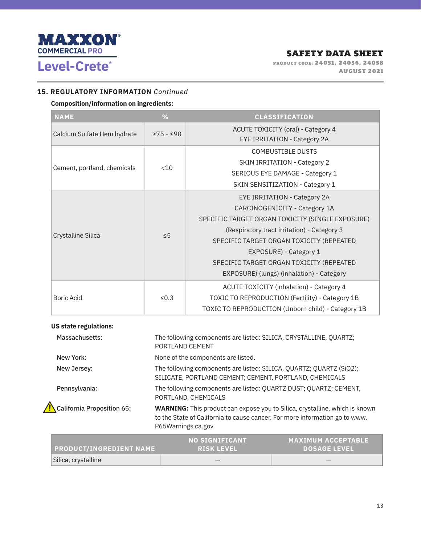

**PRODUCT CODE: 24051, 24056, 24058 PRODUCT CODE: 24051, 24056, 24058 AUGUST 2021** 

### **15. REGULATORY INFORMATION** *Continued*

## **Composition/information on ingredients:**

| <b>NAME</b>                 | %                     | <b>CLASSIFICATION</b>                              |
|-----------------------------|-----------------------|----------------------------------------------------|
| Calcium Sulfate Hemihydrate | $\geq$ 75 - $\leq$ 90 | ACUTE TOXICITY (oral) - Category 4                 |
|                             |                       | <b>EYE IRRITATION - Category 2A</b>                |
|                             |                       | <b>COMBUSTIBLE DUSTS</b>                           |
| Cement, portland, chemicals | < 10                  | <b>SKIN IRRITATION - Category 2</b>                |
|                             |                       | SERIOUS EYE DAMAGE - Category 1                    |
|                             |                       | SKIN SENSITIZATION - Category 1                    |
|                             | $\leq 5$              | <b>EYE IRRITATION - Category 2A</b>                |
|                             |                       | CARCINOGENICITY - Category 1A                      |
|                             |                       | SPECIFIC TARGET ORGAN TOXICITY (SINGLE EXPOSURE)   |
|                             |                       | (Respiratory tract irritation) - Category 3        |
| Crystalline Silica          |                       | SPECIFIC TARGET ORGAN TOXICITY (REPEATED           |
|                             |                       | EXPOSURE) - Category 1                             |
|                             |                       | SPECIFIC TARGET ORGAN TOXICITY (REPEATED           |
|                             |                       | EXPOSURE) (lungs) (inhalation) - Category          |
| <b>Boric Acid</b>           |                       | ACUTE TOXICITY (inhalation) - Category 4           |
|                             | $\leq 0.3$            | TOXIC TO REPRODUCTION (Fertility) - Category 1B    |
|                             |                       | TOXIC TO REPRODUCTION (Unborn child) - Category 1B |

### **US state regulations:**

| Massachusetts:             | The following components are listed: SILICA, CRYSTALLINE, QUARTZ;<br>PORTLAND CEMENT                                                                                                     |
|----------------------------|------------------------------------------------------------------------------------------------------------------------------------------------------------------------------------------|
| New York:                  | None of the components are listed.                                                                                                                                                       |
| New Jersey:                | The following components are listed: SILICA, QUARTZ; QUARTZ (SiO2);<br>SILICATE, PORTLAND CEMENT; CEMENT, PORTLAND, CHEMICALS                                                            |
| Pennsylvania:              | The following components are listed: QUARTZ DUST; QUARTZ; CEMENT,<br>PORTLAND, CHEMICALS                                                                                                 |
| California Proposition 65: | <b>WARNING:</b> This product can expose you to Silica, crystalline, which is known<br>to the State of California to cause cancer. For more information go to www.<br>P65Warnings.ca.gov. |

| <b>PRODUCT/INGREDIENT NAME</b> | ' NO SIGNIFICANT<br><b>RISK LEVEL</b> | <b>MAXIMUM ACCEPTABLE</b><br><b>DOSAGE LEVEL</b> |
|--------------------------------|---------------------------------------|--------------------------------------------------|
| Silica, crystalline            |                                       |                                                  |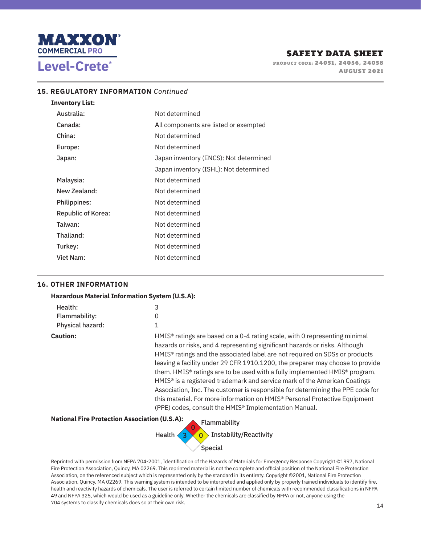

**PRODUCT CODE: 24051, 24056, 24058 PRODUCT CODE: 24051, 24056, 24058 AUGUST 2021** 

#### **15. REGULATORY INFORMATION** *Continued*

| <b>Inventory List:</b>    |                                        |
|---------------------------|----------------------------------------|
| Australia:                | Not determined                         |
| Canada:                   | All components are listed or exempted  |
| China:                    | Not determined                         |
| Europe:                   | Not determined                         |
| Japan:                    | Japan inventory (ENCS): Not determined |
|                           | Japan inventory (ISHL): Not determined |
| Malaysia:                 | Not determined                         |
| New Zealand:              | Not determined                         |
| Philippines:              | Not determined                         |
| <b>Republic of Korea:</b> | Not determined                         |
| Taiwan:                   | Not determined                         |
| Thailand:                 | Not determined                         |
| Turkey:                   | Not determined                         |
| Viet Nam:                 | Not determined                         |

### **16. OTHER INFORMATION**

| Health:          | 3                                                                                                                                                                                                                                                                                                                                                                                                                                                                                                                                                                                                                                                                                                                                                                                     |
|------------------|---------------------------------------------------------------------------------------------------------------------------------------------------------------------------------------------------------------------------------------------------------------------------------------------------------------------------------------------------------------------------------------------------------------------------------------------------------------------------------------------------------------------------------------------------------------------------------------------------------------------------------------------------------------------------------------------------------------------------------------------------------------------------------------|
| Flammability:    | $\Omega$<br>1                                                                                                                                                                                                                                                                                                                                                                                                                                                                                                                                                                                                                                                                                                                                                                         |
| Physical hazard: |                                                                                                                                                                                                                                                                                                                                                                                                                                                                                                                                                                                                                                                                                                                                                                                       |
| <b>Caution:</b>  | HMIS <sup>®</sup> ratings are based on a 0-4 rating scale, with 0 representing minimal<br>hazards or risks, and 4 representing significant hazards or risks. Although<br>HMIS <sup>®</sup> ratings and the associated label are not required on SDSs or products<br>leaving a facility under 29 CFR 1910.1200, the preparer may choose to provide<br>them. HMIS <sup>®</sup> ratings are to be used with a fully implemented HMIS® program.<br>HMIS <sup>®</sup> is a registered trademark and service mark of the American Coatings<br>Association, Inc. The customer is responsible for determining the PPE code for<br>this material. For more information on HMIS <sup>®</sup> Personal Protective Equipment<br>(PPE) codes, consult the HMIS <sup>®</sup> Implementation Manual. |



Reprinted with permission from NFPA 704-2001, Identification of the Hazards of Materials for Emergency Response Copyright ©1997, National Fire Protection Association, Quincy, MA 02269. This reprinted material is not the complete and official position of the National Fire Protection Association, on the referenced subject which is represented only by the standard in its entirety. Copyright ©2001, National Fire Protection Association, Quincy, MA 02269. This warning system is intended to be interpreted and applied only by properly trained individuals to identify fire, health and reactivity hazards of chemicals. The user is referred to certain limited number of chemicals with recommended classifications in NFPA 49 and NFPA 325, which would be used as a guideline only. Whether the chemicals are classified by NFPA or not, anyone using the 704 systems to classify chemicals does so at their own risk.